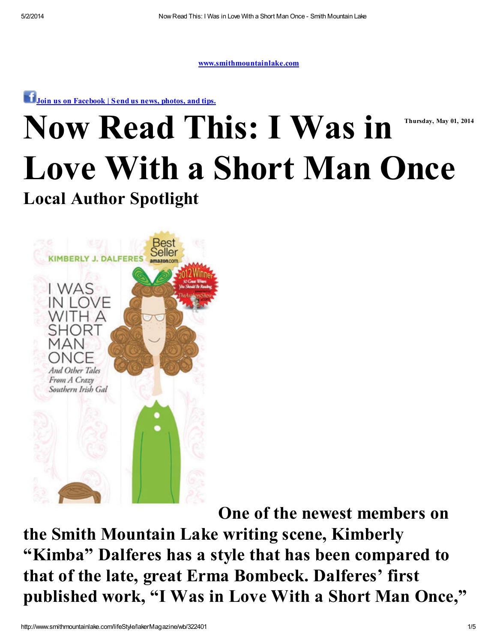[www.smithmountainlake.com](http://www.smithmountainlake.com/)

**T** Join us on [Facebook](http://www.roanoke.com/communityforms/LakerSubmission.aspx) | Send us news, photos, and tips.

# Thursday, May 01, 2014 Now Read This: I Was in Love With a Short Man Once

#### Local Author Spotlight



One of the newest members on the Smith Mountain Lake writing scene, Kimberly "Kimba" Dalferes has a style that has been compared to that of the late, great Erma Bombeck. Dalferes' first published work, "I Was in Love With a Short Man Once, "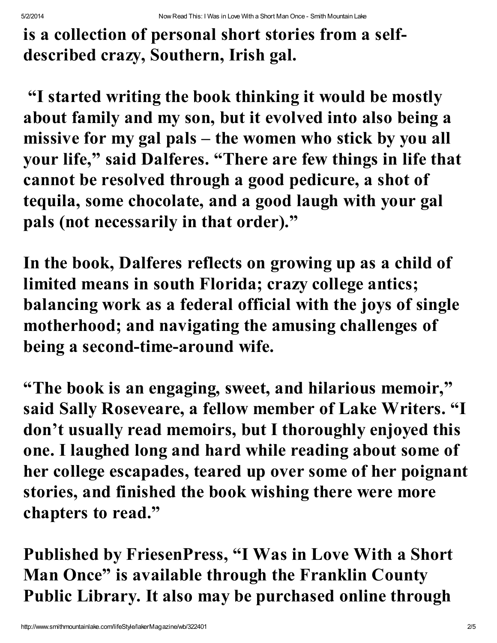is a collection of personal short stories from a selfdescribed crazy, Southern, Irish gal.

"I started writing the book thinking it would be mostly about family and my son, but it evolved into also being a missive for my gal pals – the women who stick by you all your life, " said Dalferes. "There are few things in life that cannot be resolved through a good pedicure, a shot of tequila, some chocolate, and a good laugh with your gal pals (not necessarily in that order)."

In the book, Dalferes reflects on growing up as a child of limited means in south Florida; crazy college antics; balancing work as a federal official with the joys of single motherhood; and navigating the amusing challenges of being a second-time-around wife.

"The book is an engaging, sweet, and hilarious memoir, " said Sally Roseveare, a fellow member of Lake Writers. "I don't usually read memoirs, but I thoroughly enjoyed this one. I laughed long and hard while reading about some of her college escapades, teared up over some of her poignant stories, and finished the book wishing there were more chapters to read."

Published by FriesenPress, "I Was in Love With a Short Man Once" is available through the Franklin County Public Library. It also may be purchased online through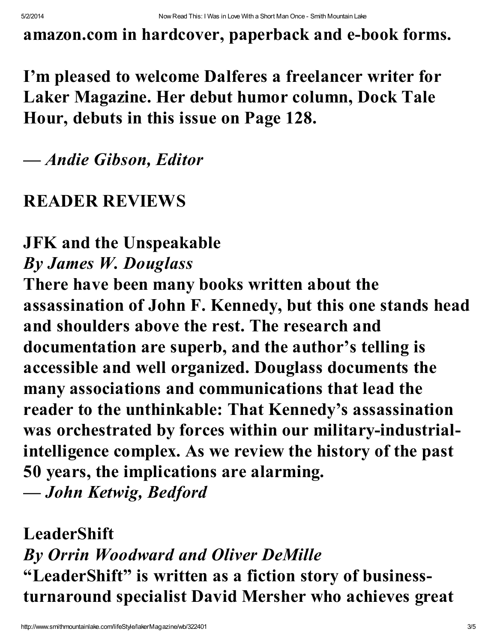amazon.com in hardcover, paperback and e-book forms.

# I'm pleased to welcome Dalferes a freelancer writer for Laker Magazine. Her debut humor column, Dock Tale Hour, debuts in this issue on Page 128.

### *— Andie Gibson, Editor*

#### READER REVIEWS

### JFK and the Unspeakable *By James W. Douglass*

There have been many books written about the assassination of John F. Kennedy, but this one stands head and shoulders above the rest. The research and documentation are superb, and the author's telling is accessible and well organized. Douglass documents the many associations and communications that lead the reader to the unthinkable: That Kennedy's assassination was orchestrated by forces within our military-industrialintelligence complex. As we review the history of the past 50 years, the implications are alarming.

*— John Ketwig, Bedford*

LeaderShift *By Orrin Woodward and Oliver DeMille* "LeaderShift" is written as a fiction story of businessturnaround specialist David Mersher who achieves great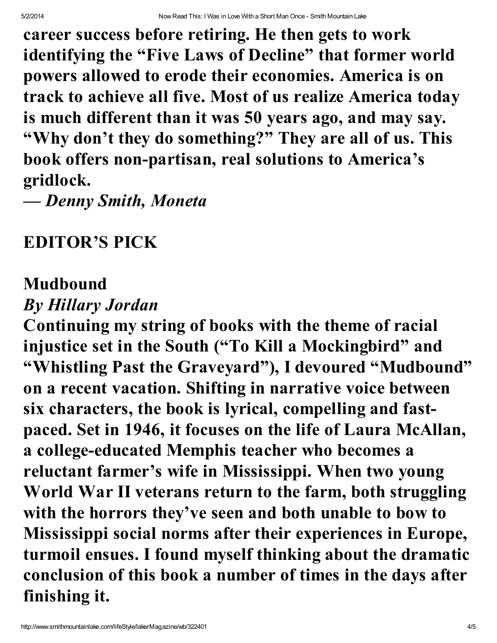career success before retiring. He then gets to work identifying the "Five Laws of Decline" that former world powers allowed to erode their economies. America is on track to achieve all five. Most of us realize America today is much different than it was 50 years ago, and may say. "Why don't they do something?" They are all of us. This book offers non-partisan, real solutions to America's gridlock.

*— Denny Smith, Moneta*

# EDITOR'S PICK

## Mudbound

## *By Hillary Jordan*

Continuing my string of books with the theme of racial injustice set in the South ("To Kill a Mockingbird" and "Whistling Past the Graveyard"), I devoured "Mudbound" on a recent vacation. Shifting in narrative voice between six characters, the book is lyrical, compelling and fastpaced. Set in 1946, it focuses on the life of Laura McAllan, a college-educated Memphis teacher who becomes a reluctant farmer's wife in Mississippi. When two young World War II veterans return to the farm, both struggling with the horrors they've seen and both unable to bow to Mississippi social norms after their experiences in Europe, turmoil ensues. I found myself thinking about the dramatic conclusion of this book a number of times in the days after finishing it.